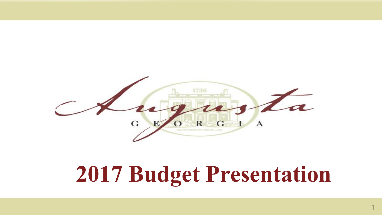

# **2017 Budget Presentation**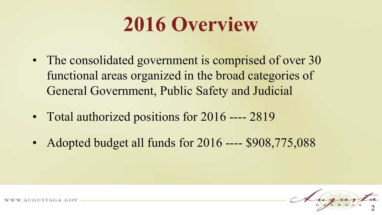# **2016 Overview**

- The consolidated government is comprised of over 30 functional areas organized in the broad categories of General Government, Public Safety and Judicial
- Total authorized positions for 2016 ---- 2819
- Adopted budget all funds for 2016 ---- \$908,775,088

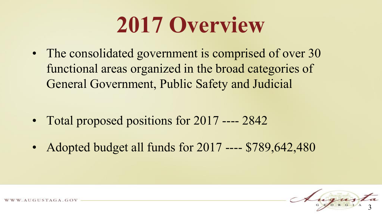# **2017 Overview**

• The consolidated government is comprised of over 30 functional areas organized in the broad categories of General Government, Public Safety and Judicial

- Total proposed positions for 2017 ---- 2842
- Adopted budget all funds for 2017 ---- \$789,642,480

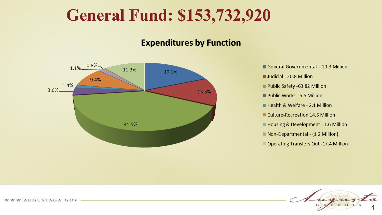#### **General Fund: \$153,732,920**

#### **Expenditures by Function**



General Governmental - 29.3 Million Judicial - 20.8 Million Public Safety -63.82 Million Public Works - 5.5 Million Health & Welfare - 2.1 Million Culture-Recreation 14.5 Million Housing & Development - 1.6 Million Non-Departmental - (1.2 Million) Operating Transfers Out -17.4 Million

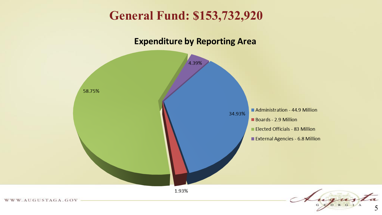#### **General Fund: \$153,732,920**

#### **Expenditure by Reporting Area**



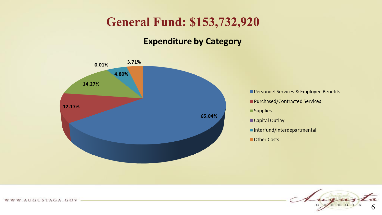#### **General Fund: \$153,732,920**

#### **Expenditure by Category**



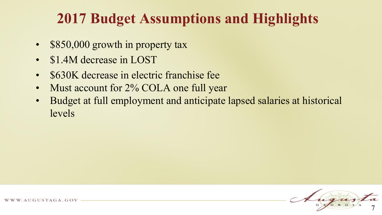#### **2017 Budget Assumptions and Highlights**

- \$850,000 growth in property tax
- \$1.4M decrease in LOST
- \$630K decrease in electric franchise fee
- Must account for 2% COLA one full year
- Budget at full employment and anticipate lapsed salaries at historical levels

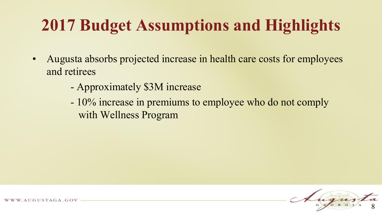## **2017 Budget Assumptions and Highlights**

- Augusta absorbs projected increase in health care costs for employees and retirees
	- Approximately \$3M increase
	- 10% increase in premiums to employee who do not comply with Wellness Program

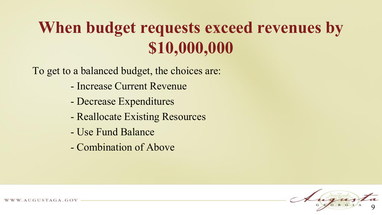## **When budget requests exceed revenues by \$10,000,000**

To get to a balanced budget, the choices are:

- Increase Current Revenue
- Decrease Expenditures
- Reallocate Existing Resources
- Use Fund Balance
- Combination of Above



UGUSTAGA.GOV.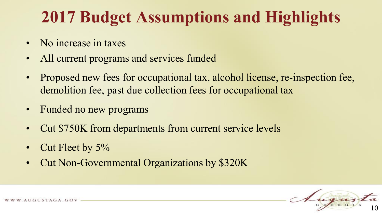### **2017 Budget Assumptions and Highlights**

- No increase in taxes
- All current programs and services funded
- Proposed new fees for occupational tax, alcohol license, re-inspection fee, demolition fee, past due collection fees for occupational tax
- Funded no new programs
- Cut \$750K from departments from current service levels
- Cut Fleet by 5%
- Cut Non-Governmental Organizations by \$320K

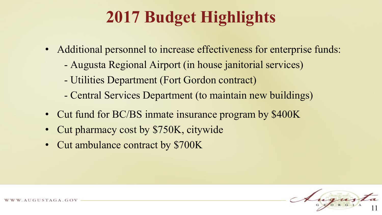## **2017 Budget Highlights**

- Additional personnel to increase effectiveness for enterprise funds:
	- Augusta Regional Airport (in house janitorial services)
	- Utilities Department (Fort Gordon contract)
	- Central Services Department (to maintain new buildings)
- Cut fund for BC/BS inmate insurance program by \$400K
- Cut pharmacy cost by \$750K, citywide
- Cut ambulance contract by \$700K

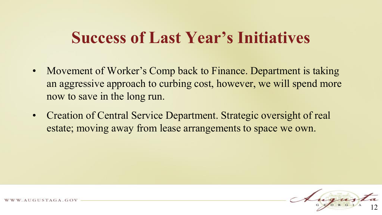#### **Success of Last Year's Initiatives**

- Movement of Worker's Comp back to Finance. Department is taking an aggressive approach to curbing cost, however, we will spend more now to save in the long run.
- Creation of Central Service Department. Strategic oversight of real estate; moving away from lease arrangements to space we own.

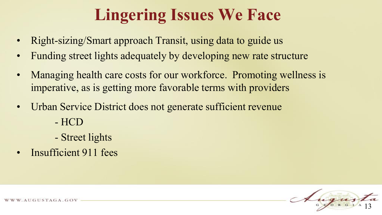### **Lingering Issues We Face**

- Right-sizing/Smart approach Transit, using data to guide us
- Funding street lights adequately by developing new rate structure
- Managing health care costs for our workforce. Promoting wellness is imperative, as is getting more favorable terms with providers
- Urban Service District does not generate sufficient revenue - HCD
	- Street lights
- Insufficient 911 fees

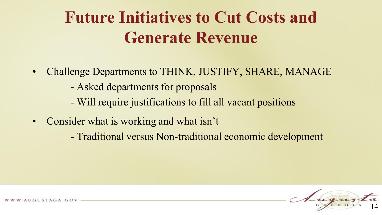### **Future Initiatives to Cut Costs and Generate Revenue**

- Challenge Departments to THINK, JUSTIFY, SHARE, MANAGE
	- Asked departments for proposals
	- Will require justifications to fill all vacant positions
- Consider what is working and what isn't
	- Traditional versus Non-traditional economic development

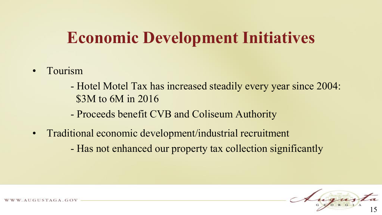### **Economic Development Initiatives**

- Tourism
	- Hotel Motel Tax has increased steadily every year since 2004: \$3M to 6M in 2016
	- Proceeds benefit CVB and Coliseum Authority
- Traditional economic development/industrial recruitment
	- Has not enhanced our property tax collection significantly

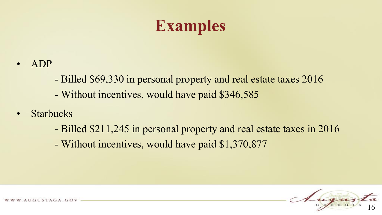### **Examples**

- ADP
	- Billed \$69,330 in personal property and real estate taxes 2016
	- Without incentives, would have paid \$346,585
- Starbucks
	- Billed \$211,245 in personal property and real estate taxes in 2016
	- Without incentives, would have paid \$1,370,877

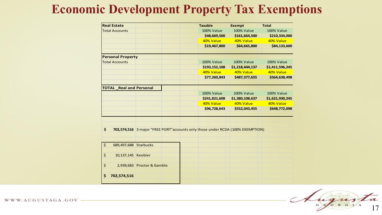#### **Economic Development Property Tax Exemptions**

| <b>Real Estate</b>               |                                                                                 | <b>Taxable</b>    | <b>Exempt</b>     | <b>Total</b>      |
|----------------------------------|---------------------------------------------------------------------------------|-------------------|-------------------|-------------------|
| <b>Total Accounts</b>            |                                                                                 | <b>100% Value</b> | <b>100% Value</b> | <b>100% Value</b> |
|                                  |                                                                                 | \$48,669,500      | \$161,664,500     | \$210,334,000     |
|                                  |                                                                                 | 40% Value         | 40% Value         | 40% Value         |
|                                  |                                                                                 | \$19,467,800      | \$64,665,800      | \$84,133,600      |
| <b>Personal Property</b>         |                                                                                 |                   |                   |                   |
| <b>Total Accounts</b>            |                                                                                 | <b>100% Value</b> | 100% Value        | <b>100% Value</b> |
|                                  |                                                                                 | \$193,152,108     | \$1,218,444,137   | \$1,411,596,245   |
|                                  |                                                                                 | 40% Value         | 40% Value         | 40% Value         |
|                                  |                                                                                 | \$77,260,843      | \$487,377,655     | \$564,638,498     |
| <b>TOTAL Real and Personal</b>   |                                                                                 |                   |                   |                   |
|                                  |                                                                                 | 100% Value        | 100% Value        | 100% Value        |
|                                  |                                                                                 | \$241,821,608     | \$1,380,108,637   | \$1,621,930,245   |
|                                  |                                                                                 | 40% Value         | 40% Value         | 40% Value         |
|                                  |                                                                                 | \$96,728,643      | \$552,043,455     | \$648,772,098     |
|                                  |                                                                                 |                   |                   |                   |
| \$                               | 702,574,516 3 major "FREE PORT" accounts only those under RCDA (100% EXEMPTION) |                   |                   |                   |
|                                  |                                                                                 |                   |                   |                   |
|                                  |                                                                                 |                   |                   |                   |
| $\zeta$<br>689,497,688 Starbucks |                                                                                 |                   |                   |                   |
|                                  |                                                                                 |                   |                   |                   |
| \$<br>10,137,145 Keebler         |                                                                                 |                   |                   |                   |
| $\zeta$                          | 2,939,683 Proctor & Gamble                                                      |                   |                   |                   |

ugues 17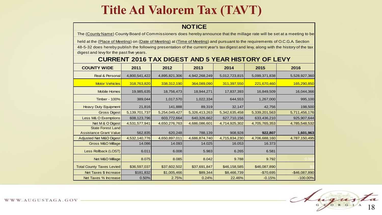#### **Title Ad Valorem Tax (TAVT)**

#### **NOTICE**

The (County Name) County Board of Commissioners does hereby announce that the millage rate will be set at a meeting to be

 held at the (Place of Meeting) on (Date of Meeting) at (Time of Meeting) and pursuant to the requirements of O.C.G.A. Section 48-5-32 does hereby publish the following presentation of the current year's tax digest and levy, along with the history of the tax digest and levy for the past five years.

#### **CURRENT 2016 TAX DIGEST AND 5 YEAR HISTORY OF LEVY**

| <b>COUNTY WIDE</b>               | 2011          | 2012          | 2013          | 2014          | 2015          | 2016           |
|----------------------------------|---------------|---------------|---------------|---------------|---------------|----------------|
| Real & Personal                  | 4,800,541,422 | 4,895,821,306 | 4,942,268,249 | 5,012,723,815 | 5,099,371,838 | 5,528,927,360  |
| <b>Motor Vehicles</b>            | 318,763,820   | 338,312,190   | 364,089,090   | 311,397,550   | 221,670,460   | 165,290,850    |
| Mobile Homes                     | 19,985,635    | 18,756,473    | 18,944,271    | 17,837,393    | 16,849,509    | 16,044,366     |
| Timber - 100%                    | 389,044       | 1,017,570     | 1,022,334     | 644,553       | 1,267,000     | 995,100        |
| <b>Heavy Duty Equipment</b>      | 21,816        | 141,888       | 89,319        | 32,147        | 42,756        | 198,500        |
| <b>Gross Digest</b>              | 5,139,701,737 | 5,254,049,427 | 5,326,413,263 | 5,342,635,458 | 5,339,201,563 | 5,711,456,176  |
| Less M& O Exemptions             | 608,123,796   | 603,772,664   | 640,326,662   | 627,710,156   | 633,436,210   | 925,907,644    |
| Net M & O Digest                 | 4,531,577,941 | 4,650,276,763 | 4,686,086,601 | 4,714,925,302 | 4,705,765,353 | 4,785,548,532  |
| <b>State Forest Land</b>         |               |               |               |               |               |                |
| <b>Assistance Grant Value</b>    | 562,835       | 620,248       | 788,139       | 908,928       | 922,807       | 1,601,963      |
| Adjusted Net M&O Digest          | 4,532,140,776 | 4,650,897,011 | 4,686,874,740 | 4,715,834,230 | 4,706,688,160 | 4,787,150,495  |
| <b>Gross M&amp;O Millage</b>     | 14.086        | 14.093        | 14.025        | 16.053        | 16.373        |                |
| Less Rollback (LOST)             | 6.011         | 6.008         | 5.983         | 6.265         | 6.581         |                |
| Net M&O Millage                  | 8.075         | 8.085         | 8.042         | 9.788         | 9.792         | 0.000          |
| <b>Total County Taxes Levied</b> | \$36,597,037  | \$37,602,502  | \$37,691,847  | \$46,158,585  | \$46,087,890  |                |
| Net Taxes \$ Increase            | \$181,832     | \$1,005,466   | \$89,344      | \$8,466,739   | $-$70,695$    | $-$46,087,890$ |
| Net Taxes % Increase             | 0.50%         | 2.75%         | 0.24%         | 22.46%        | $-0.15%$      | $-100.00\%$    |

ugues 18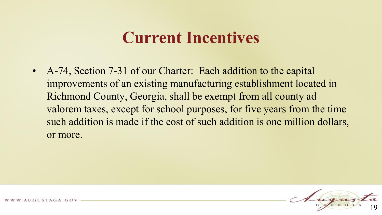• A-74, Section 7-31 of our Charter: Each addition to the capital improvements of an existing manufacturing establishment located in Richmond County, Georgia, shall be exempt from all county ad valorem taxes, except for school purposes, for five years from the time such addition is made if the cost of such addition is one million dollars, or more.

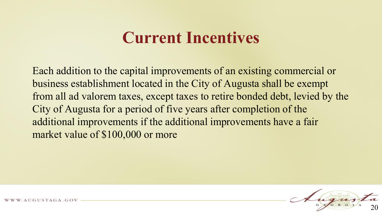Each addition to the capital improvements of an existing commercial or business establishment located in the City of Augusta shall be exempt from all ad valorem taxes, except taxes to retire bonded debt, levied by the City of Augusta for a period of five years after completion of the additional improvements if the additional improvements have a fair market value of \$100,000 or more

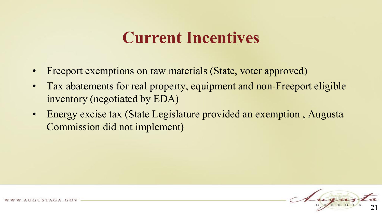- Freeport exemptions on raw materials (State, voter approved)
- Tax abatements for real property, equipment and non-Freeport eligible inventory (negotiated by EDA)
- Energy excise tax (State Legislature provided an exemption , Augusta Commission did not implement)

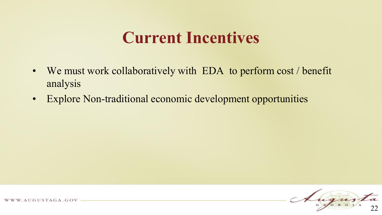- We must work collaboratively with EDA to perform cost / benefit analysis
- Explore Non-traditional economic development opportunities

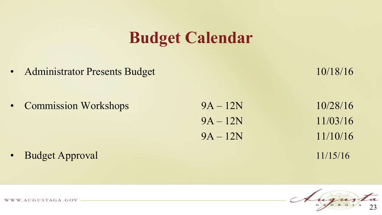#### **Budget Calendar**

• Administrator Presents Budget 10/18/16

• Commission Workshops 9A – 12N 10/28/16  $9A - 12N$  11/03/16  $9A - 12N$  11/10/16

**• Budget Approval** 11/15/16